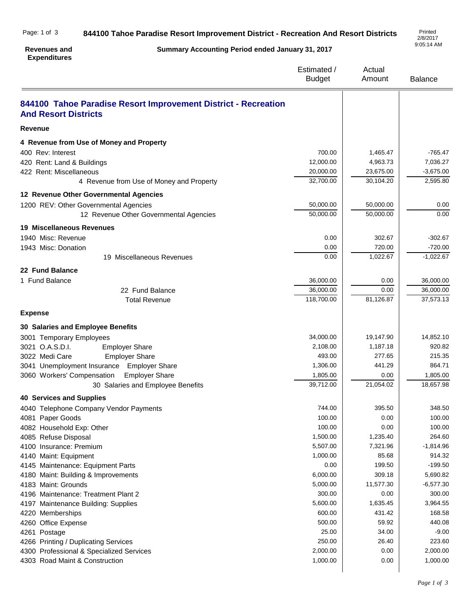| Page: 1 of 3 | 844100 Tahoe Paradise Resort Improvement District - Recreation And Resort Districts | Printed  |
|--------------|-------------------------------------------------------------------------------------|----------|
|              |                                                                                     | 2/8/2017 |

## **Revenues and Expenditures**

**Summary Accounting Period ended January 31, 2017**

2/8/2017 9:05:14 AM

|                                                                                               | Estimated /<br><b>Budget</b> | Actual<br>Amount   | <b>Balance</b>     |
|-----------------------------------------------------------------------------------------------|------------------------------|--------------------|--------------------|
| 844100 Tahoe Paradise Resort Improvement District - Recreation<br><b>And Resort Districts</b> |                              |                    |                    |
| Revenue                                                                                       |                              |                    |                    |
| 4 Revenue from Use of Money and Property                                                      |                              |                    |                    |
| 400 Rev: Interest                                                                             | 700.00                       | 1,465.47           | $-765.47$          |
| 420 Rent: Land & Buildings                                                                    | 12,000.00                    | 4,963.73           | 7,036.27           |
| 422 Rent: Miscellaneous                                                                       | 20,000.00                    | 23,675.00          | $-3,675.00$        |
| 4 Revenue from Use of Money and Property                                                      | 32,700.00                    | 30,104.20          | 2,595.80           |
| 12 Revenue Other Governmental Agencies                                                        |                              |                    |                    |
| 1200 REV: Other Governmental Agencies                                                         | 50,000.00                    | 50,000.00          | 0.00               |
| 12 Revenue Other Governmental Agencies                                                        | 50,000.00                    | 50,000.00          | 0.00               |
| <b>19 Miscellaneous Revenues</b>                                                              |                              |                    |                    |
| 1940 Misc: Revenue                                                                            | 0.00                         | 302.67             | $-302.67$          |
| 1943 Misc: Donation                                                                           | 0.00                         | 720.00             | $-720.00$          |
| 19 Miscellaneous Revenues                                                                     | 0.00                         | 1,022.67           | $-1,022.67$        |
| 22 Fund Balance                                                                               |                              |                    |                    |
| 1 Fund Balance                                                                                | 36,000.00                    | 0.00               | 36,000.00          |
| 22 Fund Balance                                                                               | 36.000.00                    | 0.00               | 36,000.00          |
| <b>Total Revenue</b>                                                                          | 118,700.00                   | 81,126.87          | 37,573.13          |
| <b>Expense</b>                                                                                |                              |                    |                    |
| 30 Salaries and Employee Benefits                                                             |                              |                    |                    |
| 3001 Temporary Employees                                                                      | 34,000.00                    | 19,147.90          | 14,852.10          |
| 3021 O.A.S.D.I.<br><b>Employer Share</b>                                                      | 2,108.00                     | 1,187.18           | 920.82             |
| 3022 Medi Care<br><b>Employer Share</b>                                                       | 493.00                       | 277.65             | 215.35             |
| 3041 Unemployment Insurance<br><b>Employer Share</b>                                          | 1,306.00                     | 441.29             | 864.71             |
| <b>Employer Share</b><br>3060 Workers' Compensation                                           | 1,805.00                     | 0.00               | 1,805.00           |
| 30 Salaries and Employee Benefits                                                             | 39,712.00                    | 21,054.02          | 18,657.98          |
| <b>40 Services and Supplies</b>                                                               |                              |                    |                    |
| 4040 Telephone Company Vendor Payments                                                        | 744.00                       | 395.50             | 348.50             |
| 4081 Paper Goods                                                                              | 100.00                       | 0.00               | 100.00             |
| 4082 Household Exp: Other                                                                     | 100.00                       | 0.00               | 100.00             |
| 4085 Refuse Disposal                                                                          | 1,500.00                     | 1,235.40           | 264.60             |
| 4100 Insurance: Premium                                                                       | 5,507.00                     | 7,321.96           | $-1,814.96$        |
| 4140 Maint: Equipment                                                                         | 1,000.00                     | 85.68              | 914.32             |
| 4145 Maintenance: Equipment Parts                                                             | 0.00                         | 199.50             | $-199.50$          |
| 4180 Maint: Building & Improvements                                                           | 6,000.00                     | 309.18             | 5,690.82           |
| 4183 Maint: Grounds                                                                           | 5,000.00                     | 11,577.30          | $-6,577.30$        |
| 4196 Maintenance: Treatment Plant 2                                                           | 300.00<br>5,600.00           | 0.00               | 300.00             |
| 4197 Maintenance Building: Supplies                                                           | 600.00                       | 1,635.45<br>431.42 | 3,964.55<br>168.58 |
| 4220 Memberships                                                                              | 500.00                       | 59.92              | 440.08             |
| 4260 Office Expense<br>4261 Postage                                                           | 25.00                        | 34.00              | $-9.00$            |
| 4266 Printing / Duplicating Services                                                          | 250.00                       | 26.40              | 223.60             |
| 4300 Professional & Specialized Services                                                      | 2,000.00                     | 0.00               | 2,000.00           |
| 4303 Road Maint & Construction                                                                | 1,000.00                     | 0.00               | 1,000.00           |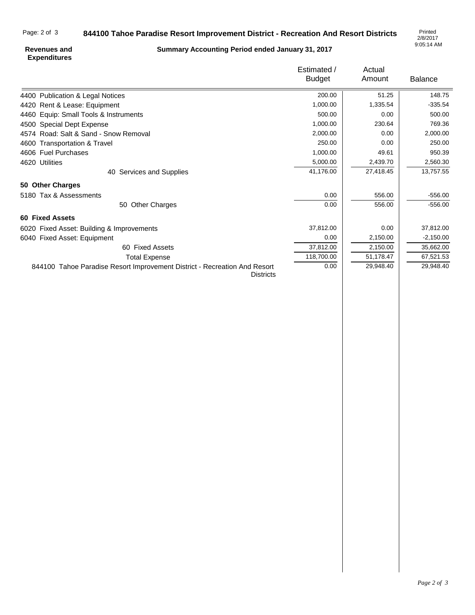## **844100 Tahoe Paradise Resort Improvement District - Recreation And Resort Districts** Page: 2 of 3

2/8/2017 9:05:14 AM

## **Revenues and Expenditures**

**Summary Accounting Period ended January 31, 2017**

|                                                                                               | Estimated /   | Actual    |                |
|-----------------------------------------------------------------------------------------------|---------------|-----------|----------------|
|                                                                                               | <b>Budget</b> | Amount    | <b>Balance</b> |
| 4400 Publication & Legal Notices                                                              | 200.00        | 51.25     | 148.75         |
| 4420 Rent & Lease: Equipment                                                                  | 1,000.00      | 1,335.54  | $-335.54$      |
| 4460 Equip: Small Tools & Instruments                                                         | 500.00        | 0.00      | 500.00         |
| 4500 Special Dept Expense                                                                     | 1,000.00      | 230.64    | 769.36         |
| 4574 Road: Salt & Sand - Snow Removal                                                         | 2,000.00      | 0.00      | 2,000.00       |
| 4600 Transportation & Travel                                                                  | 250.00        | 0.00      | 250.00         |
| 4606 Fuel Purchases                                                                           | 1,000.00      | 49.61     | 950.39         |
| 4620 Utilities                                                                                | 5,000.00      | 2,439.70  | 2,560.30       |
| 40 Services and Supplies                                                                      | 41,176.00     | 27,418.45 | 13,757.55      |
| 50 Other Charges                                                                              |               |           |                |
| 5180 Tax & Assessments                                                                        | 0.00          | 556.00    | $-556.00$      |
| 50 Other Charges                                                                              | 0.00          | 556.00    | $-556.00$      |
| <b>60 Fixed Assets</b>                                                                        |               |           |                |
| 6020 Fixed Asset: Building & Improvements                                                     | 37,812.00     | 0.00      | 37,812.00      |
| 6040 Fixed Asset: Equipment                                                                   | 0.00          | 2,150.00  | $-2,150.00$    |
| 60 Fixed Assets                                                                               | 37,812.00     | 2,150.00  | 35,662.00      |
| <b>Total Expense</b>                                                                          | 118,700.00    | 51,178.47 | 67,521.53      |
| 844100 Tahoe Paradise Resort Improvement District - Recreation And Resort<br><b>Districts</b> | 0.00          | 29,948.40 | 29,948.40      |